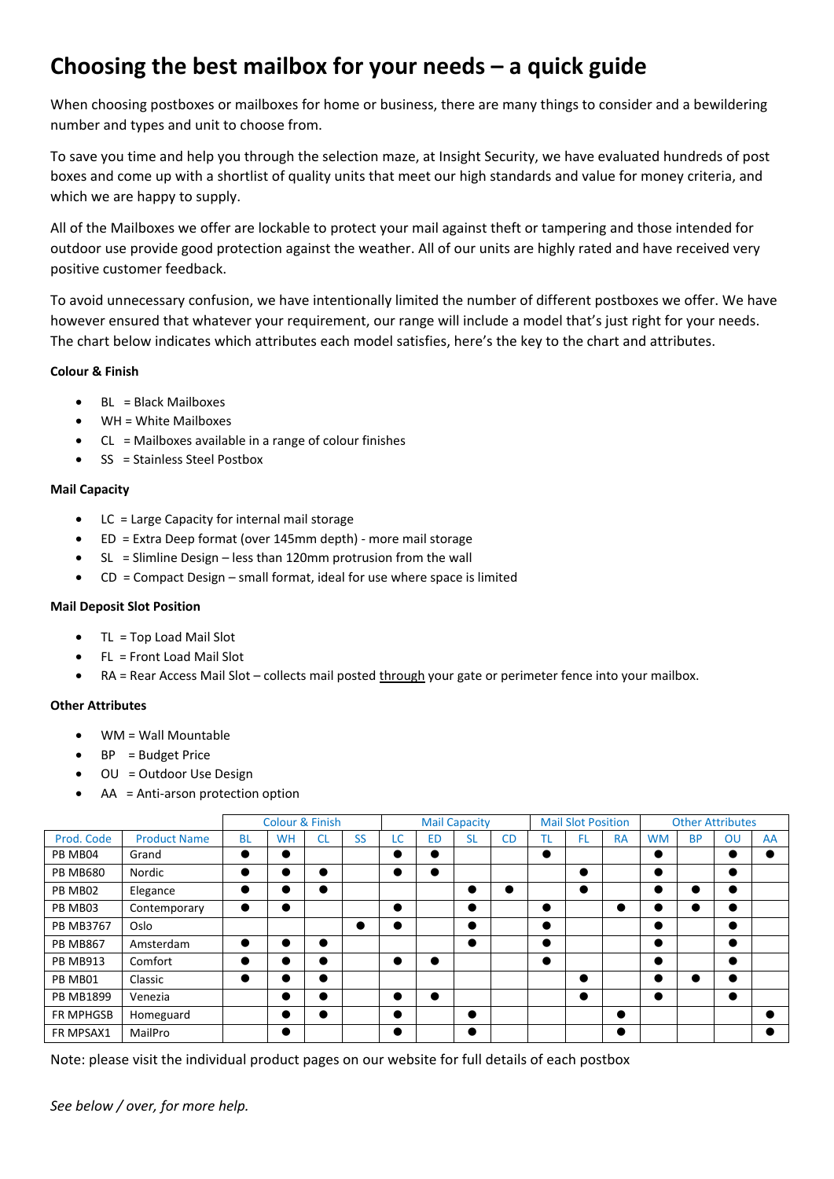# **Choosing the best mailbox for your needs – a quick guide**

When choosing postboxes or mailboxes for home or business, there are many things to consider and a bewildering number and types and unit to choose from.

To save you time and help you through the selection maze, at Insight Security, we have evaluated hundreds of post boxes and come up with a shortlist of quality units that meet our high standards and value for money criteria, and which we are happy to supply.

All of the Mailboxes we offer are lockable to protect your mail against theft or tampering and those intended for outdoor use provide good protection against the weather. All of our units are highly rated and have received very positive customer feedback.

To avoid unnecessary confusion, we have intentionally limited the number of different postboxes we offer. We have however ensured that whatever your requirement, our range will include a model that's just right for your needs. The chart below indicates which attributes each model satisfies, here's the key to the chart and attributes.

#### **Colour & Finish**

- BL = Black Mailboxes
- WH = White Mailboxes
- $CL =$  Mailboxes available in a range of colour finishes
- SS = Stainless Steel Postbox

#### **Mail Capacity**

- LC = Large Capacity for internal mail storage
- ED = Extra Deep format (over 145mm depth) more mail storage
- $SL =$  Slimline Design less than 120mm protrusion from the wall
- $CD =$  Compact Design small format, ideal for use where space is limited

#### **Mail Deposit Slot Position**

- TL = Top Load Mail Slot
- FL = Front Load Mail Slot
- RA = Rear Access Mail Slot collects mail posted through your gate or perimeter fence into your mailbox.

#### **Other Attributes**

- WM = Wall Mountable
- BP = Budget Price
- OU = Outdoor Use Design
- AA = Anti-arson protection option

|                  |                     | <b>Colour &amp; Finish</b> |           |           |           | <b>Mail Capacity</b> |           |           |           | <b>Mail Slot Position</b> |     |           | <b>Other Attributes</b> |           |    |    |
|------------------|---------------------|----------------------------|-----------|-----------|-----------|----------------------|-----------|-----------|-----------|---------------------------|-----|-----------|-------------------------|-----------|----|----|
| Prod. Code       | <b>Product Name</b> | <b>BL</b>                  | <b>WH</b> | <b>CL</b> | <b>SS</b> | LC                   | <b>ED</b> | <b>SL</b> | <b>CD</b> | TL.                       | FL. | <b>RA</b> | <b>WM</b>               | <b>BP</b> | OU | AA |
| PB MB04          | Grand               |                            |           |           |           | $\bullet$            |           |           |           |                           |     |           | $\bullet$               |           |    |    |
| <b>PB MB680</b>  | Nordic              | $\bullet$                  |           |           |           | $\bullet$            |           |           |           |                           | O   |           | $\bullet$               |           |    |    |
| PB MB02          | Elegance            |                            |           | $\bullet$ |           |                      |           |           |           |                           | O   |           |                         |           |    |    |
| PB MB03          | Contemporary        |                            | $\bullet$ |           |           | $\bullet$            |           | $\bullet$ |           |                           |     |           |                         |           |    |    |
| <b>PB MB3767</b> | Oslo                |                            |           |           |           | $\bullet$            |           |           |           |                           |     |           | $\bullet$               |           |    |    |
| <b>PB MB867</b>  | Amsterdam           |                            |           |           |           |                      |           | $\bullet$ |           |                           |     |           | $\bullet$               |           |    |    |
| <b>PB MB913</b>  | Comfort             |                            |           |           |           |                      |           |           |           |                           |     |           | $\bullet$               |           |    |    |
| PB MB01          | Classic             |                            |           |           |           |                      |           |           |           |                           |     |           |                         |           |    |    |
| <b>PB MB1899</b> | Venezia             |                            |           |           |           | $\bullet$            |           |           |           |                           | O   |           | $\bullet$               |           |    |    |
| <b>FR MPHGSB</b> | Homeguard           |                            |           |           |           | $\bullet$            |           | $\bullet$ |           |                           |     | $\bullet$ |                         |           |    |    |
| FR MPSAX1        | MailPro             |                            | $\bullet$ |           |           | $\bullet$            |           |           |           |                           |     | $\bullet$ |                         |           |    |    |

Note: please visit the individual product pages on our website for full details of each postbox